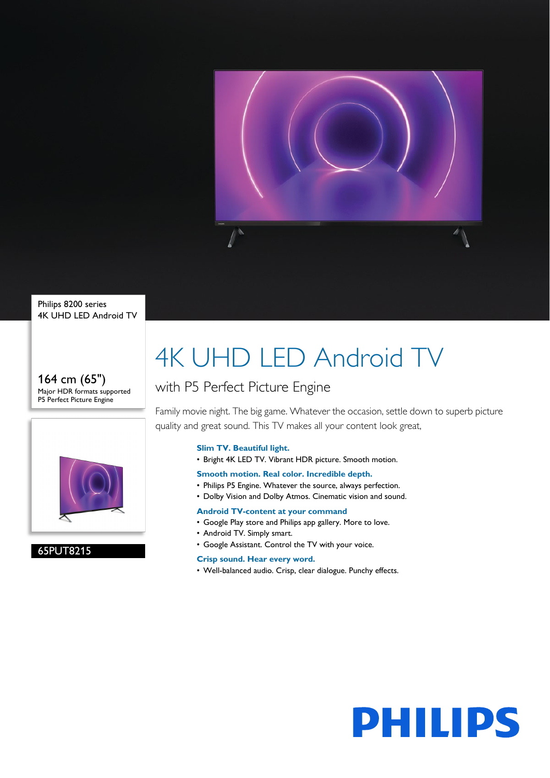

Philips 8200 series 4K UHD LED Android TV

#### 164 cm (65") Major HDR formats supported P5 Perfect Picture Engine



### 65PUT8215

# 4K UHD LED Android TV

## with P5 Perfect Picture Engine

Family movie night. The big game. Whatever the occasion, settle down to superb picture quality and great sound. This TV makes all your content look great,

#### **Slim TV. Beautiful light.**

• Bright 4K LED TV. Vibrant HDR picture. Smooth motion.

#### **Smooth motion. Real color. Incredible depth.**

- Philips P5 Engine. Whatever the source, always perfection.
- Dolby Vision and Dolby Atmos. Cinematic vision and sound.

#### **Android TV-content at your command**

- Google Play store and Philips app gallery. More to love.
- Android TV. Simply smart.
- Google Assistant. Control the TV with your voice.

### **Crisp sound. Hear every word.**

• Well-balanced audio. Crisp, clear dialogue. Punchy effects.

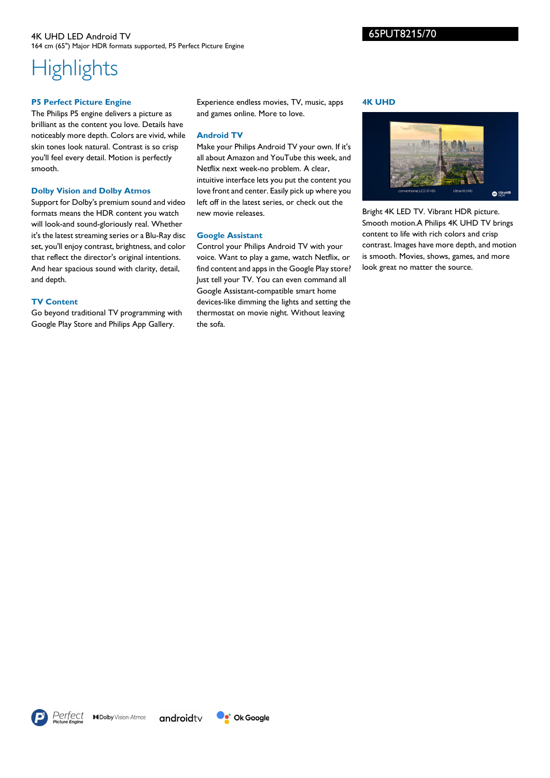65PUT8215/70

#### 4K UHD LED Android TV 164 cm (65") Major HDR formats supported, P5 Perfect Picture Engine

# **Highlights**

#### **P5 Perfect Picture Engine**

The Philips P5 engine delivers a picture as brilliant as the content you love. Details have noticeably more depth. Colors are vivid, while skin tones look natural. Contrast is so crisp you'll feel every detail. Motion is perfectly smooth.

#### **Dolby Vision and Dolby Atmos**

Support for Dolby's premium sound and video formats means the HDR content you watch will look-and sound-gloriously real. Whether it's the latest streaming series or a Blu-Ray disc set, you'll enjoy contrast, brightness, and color that reflect the director's original intentions. And hear spacious sound with clarity, detail, and depth.

#### **TV Content**

Go beyond traditional TV programming with Google Play Store and Philips App Gallery.

Experience endless movies, TV, music, apps and games online. More to love.

#### **Android TV**

Make your Philips Android TV your own. If it's all about Amazon and YouTube this week, and Netflix next week-no problem. A clear, intuitive interface lets you put the content you love front and center. Easily pick up where you left off in the latest series, or check out the new movie releases.

#### **Google Assistant**

Control your Philips Android TV with your voice. Want to play a game, watch Netflix, or find content and apps in the Google Play store? Just tell your TV. You can even command all Google Assistant-compatible smart home devices-like dimming the lights and setting the thermostat on movie night. Without leaving the sofa.

#### **4K UHD**



Bright 4K LED TV. Vibrant HDR picture. Smooth motion.A Philips 4K UHD TV brings content to life with rich colors and crisp contrast. Images have more depth, and motion is smooth. Movies, shows, games, and more look great no matter the source.